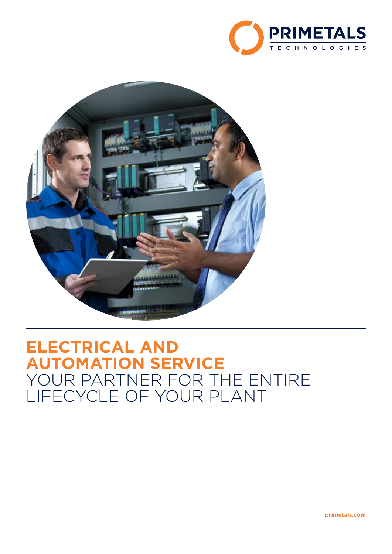



# **ELECTRICAL AND AUTOMATION SERVICE** YOUR PARTNER FOR THE ENTIRE LIFECYCLE OF YOUR PLANT

**primetals.com**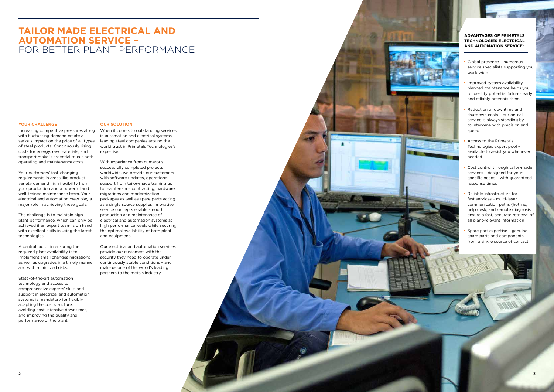## **TAILOR MADE ELECTRICAL AND AUTOMATION SERVICE –** FOR BETTER PLANT PERFORMANCE

#### **YOUR CHALLENGE**

Increasing competitive pressures along with fluctuating demand create a serious impact on the price of all types of steel products. Continuously rising costs for energy, raw materials, and transport make it essential to cut both operating and maintenance costs.

Your customers' fast-changing requirements in areas like product variety demand high flexibility from your production and a powerful and well-trained maintenance team. Your electrical and automation crew play a major role in achieving these goals.

The challenge is to maintain high plant performance, which can only be achieved if an expert team is on hand with excellent skills in using the latest technologies.

A central factor in ensuring the required plant availability is to implement small changes migrations as well as upgrades in a timely manner and with minimized risks.

State-of-the-art automation technology and access to comprehensive experts' skills and support in electrical and automation systems is mandatory for flexibly adapting the cost structure, avoiding cost-intensive downtimes, and improving the quality and performance of the plant.

## **OUR SOLUTION**

When it comes to outstanding services in automation and electrical systems, leading steel companies around the world trust in Primetals Technologies's expertise.

With experience from numerous successfully completed projects worldwide, we provide our customers with software updates, operational support from tailor-made training up to maintenance contracting, hardware migrations and modernization packages as well as spare parts acting as a single source supplier. Innovative service concepts enable smooth production and maintenance of electrical and automation systems at high performance levels while securing the optimal availability of both plant and equipment.

Our electrical and automation services provide our customers with the security they need to operate under continuously stable conditions – and make us one of the world's leading partners to the metals industry.



## **ADVANTAGES OF PRIMETALS TECHNOLOGIES ELECTRICAL AND AUTOMATION SERVICE:**

- **•** Global presence numerous service specialists supporting you worldwide
- **•** Improved system availability planned maintenance helps you to identify potential failures early and reliably prevents them
- **•** Reduction of downtime and shutdown costs – our on-call service is always standing by to intervene with precision and speed
- **•** Access to the Primetals Technologies expert pool – available to assist you whenever needed
- **•** Cost control through tailor-made services – designed for your specific needs – with guaranteed response times
- **•** Reliable infrastructure for fast services – multi-layer communication paths (hotline, help desk, and remote diagnosis, ensure a fast, accurate retrieval of all plant-relevant information
- **•** Spare part expertise genuine spare parts and components from a single source of contact







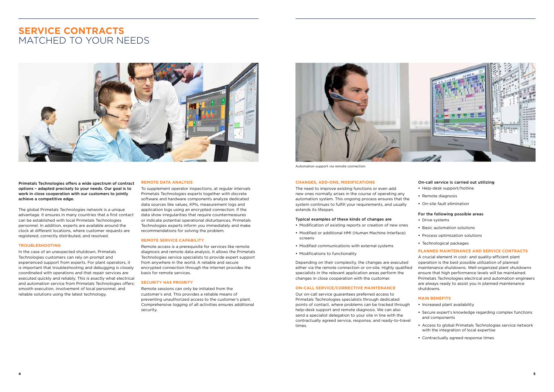## **REMOTE DATA ANALYSIS**

To supplement operator inspections, at regular intervals Primetals Technologies experts together with discrete software and hardware components analyze dedicated data sources like values, KPIs, measurement logs and application logs using an encrypted connection. If the data show irregularities that require countermeasures or indicate potential operational disturbances, Primetals Technologies experts inform you immediately and make recommendations for solving the problem.

## **REMOTE SERVICE CAPABILITY**

Remote access is a prerequisite for services like remote diagnosis and remote data analysis. It allows the Primetals Technologies service specialists to provide expert support from anywhere in the world. A reliable and secure encrypted connection through the internet provides the basis for remote services.

#### **SECURITY HAS PRIORITY**

Remote sessions can only be initiated from the customer's end. This provides a reliable means of preventing unauthorized access to the customer's plant. Comprehensive logging of all activities ensures additional security.

#### **CHANGES, ADD-ONS, MODIFICATIONS**

The need to improve existing functions or even add new ones normally arises in the course of operating any automation system. This ongoing process ensures that the system continues to fulfill your requirements, and usually extends its lifespan.

### Typical examples of these kinds of changes are

- **•** Modification of existing reports or creation of new ones
- **•** Modified or additional HMI (Human Machine Interface) screens
- **•** Modified communications with external systems
- **•** Modifications to functionality

Depending on their complexity, the changes are executed either via the remote connection or on-site. Highly qualified specialists in the relevant application areas perform the changes in close cooperation with the customer.

## **ON-CALL SERVICE/CORRECTIVE MAINTENANCE**

Our on-call service guarantees preferred access to Primetals Technologies specialists through dedicated points of contact, where problems can be tracked through help-desk support and remote diagnosis. We can also send a specialist delegation to your site in line with the contractually agreed service, response, and ready-to-travel times.

## On-call service is carried out utilizing

- **•** Help-desk support/hotline
- **•** Remote diagnosis
- **•** On-site fault elimination

## For the following possible areas

- **•** Drive systems
- **•** Basic automation solutions
- **•** Process optimization solutions
- **•** Technological packages

## **PLANNED MAINTENANCE AND SERVICE CONTRACTS**

A crucial element in cost- and quality-efficient plant operation is the best possible utilization of planned maintenance shutdowns. Well-organized plant shutdowns ensure that high performance levels will be maintained. Primetals Technologies electrical and automation engineers are always ready to assist you in planned maintenance shutdowns.

## **MAIN BENEFITS**

- **•** Increased plant availability
- **•** Secure expert's knowledge regarding complex functions and components
- **•** Access to global Primetals Technologies service network with the integration of local expertise
- **•** Contractually agreed response times

## **SERVICE CONTRACTS** MATCHED TO YOUR NEEDS





Automation support via remote connection

Primetals Technologies offers a wide spectrum of contract options – adapted precisely to your needs. Our goal is to work in close cooperation with our customers to jointly achieve a competitive edge.

The global Primetals Technologies network is a unique advantage. It ensures in many countries that a first contact can be established with local Primetals Technologies personnel. In addition, experts are available around the clock at different locations, where customer requests are registered, correctly distributed, and resolved.

## **TROUBLESHOOTING**

In the case of an unexpected shutdown, Primetals Technologies customers can rely on prompt and experienced support from experts. For plant operators, it is important that troubleshooting and debugging is closely coordinated with operations and that repair services are executed quickly and reliably. This is exactly what electrical and automation service from Primetals Technologies offers: smooth execution, involvement of local personnel, and reliable solutions using the latest technology.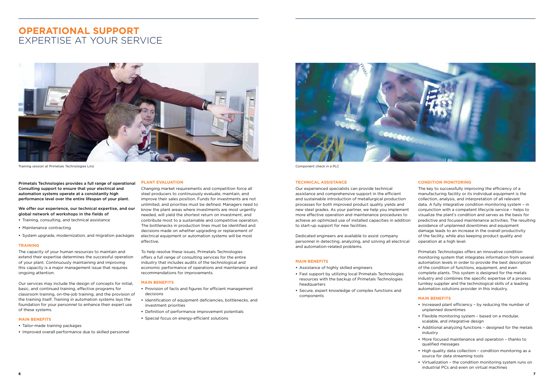## **PLANT EVALUATION**

Changing market requirements and competition force all steel producers to continuously evaluate, maintain, and improve their sales position. Funds for investments are not unlimited, and priorities must be defined. Managers need to know the plant areas where investments are most urgently needed, will yield the shortest return on investment, and contribute most to a sustainable and competitive operation. The bottlenecks in production lines must be identified and decisions made on whether upgrading or replacement of electrical equipment or automation systems will be most effective.

To help resolve these issues, Primetals Technologies offers a full range of consulting services for the entire industry that includes audits of the technological and economic performance of operations and maintenance and recommendations for improvements.

## **MAIN BENEFITS**

- **•** Provision of facts and figures for efficient management decisions
- **•** Identification of equipment deficiencies, bottlenecks, and investment priorities
- **•** Definition of performance improvement potentials
- **•** Special focus on energy-efficient solutions



#### **TECHNICAL ASSISTANCE**

Our experienced specialists can provide technical assistance and comprehensive support in the efficient and sustainable introduction of metallurgical production processes for both improved product quality yields and new steel grades. As your partner, we help you implement more effective operation and maintenance procedures to achieve an optimized use of installed capacities in addition to start-up support for new facilities.

Dedicated engineers are available to assist company personnel in detecting, analyzing, and solving all electrical and automation-related problems.

## **MAIN BENEFITS**

- **•** Assistance of highly skilled engineers
- **•** Fast support by utilizing local Primetals Technologies resources with the backup of Primetals Technologies headquarters
- **•** Secure, expert knowledge of complex functions and components

## **CONDITION MONITORING**

The key to successfully improving the efficiency of a manufacturing facility or its individual equipment is the collection, analysis, and interpretation of all relevant data. A fully integrative condition monitoring system – in conjunction with a competent lifecycle service – helps to visualize the plant's condition and serves as the basis for predictive and focused maintenance activities. The resulting avoidance of unplanned downtimes and equipment damage leads to an increase in the overall productivity of the facility, while also keeping product quality and operation at a high level.

Primetals Technologies offers an innovative condition monitoring system that integrates information from several automation levels in order to provide the best description of the condition of functions, equipment, and even complete plants. This system is designed for the metals industry and combines the specific expertise of a process turnkey supplier and the technological skills of a leading automation solutions provider in this industry.

## **MAIN BENEFITS**

- **•** Increased plant efficiency by reducing the number of unplanned downtimes
- **•** Flexible monitoring system based on a modular, scalable, and integrative design
- **•** Additional analyzing functions designed for the metals industry
- **•** More focused maintenance and operation thanks to qualified messages
- **•** High quality data collection condition monitoring as a source for data streaming tools
- **•** Virtualization the condition monitoring system runs on industrial PCs and even on virtual machines

## **OPERATIONAL SUPPORT** EXPERTISE AT YOUR SERVICE



Training session at Primetals Technologies Linz Component check in a PLC

Primetals Technologies provides a full range of operational Consulting support to ensure that your electrical and automation systems operate at a consistantly high performance level over the entire lifespan of your plant.

We offer our experience, our technical expertise, and our global network of workshops in the fields of

- **•** Training, consulting, and technical assistance
- **•** Maintenance contracting
- **•** System upgrade, modernization, and migration packages

#### **TRAINING**

The capacity of your human resources to maintain and extend their expertise determines the successful operation of your plant. Continuously maintaining and improving this capacity is a major management issue that requires ongoing attention.

Our services may include the design of concepts for initial, basic, and continued training, effective programs for classroom training, on-the-job training, and the provision of the training itself. Training in automation systems lays the foundation for your personnel to enhance their expert use of these systems.

#### **MAIN BENEFITS**

- **•** Tailor-made training packages
- **•** Improved overall performance due to skilled personnel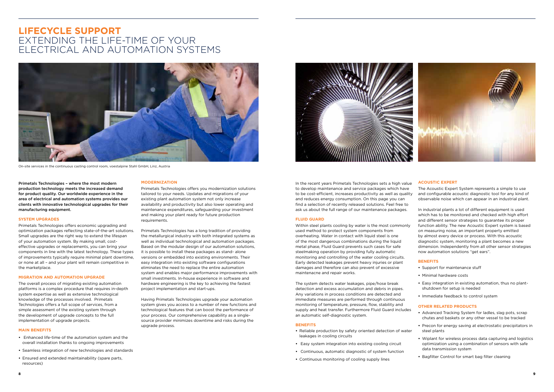## **MODERNIZATION**

Primetals Technologies offers you modernization solutions tailored to your needs. Updates and migrations of your existing plant automation system not only increase availability and productivity but also lower operating and maintenance expenditures, safeguarding your investment and making your plant ready for future production requirements.

Primetals Technologies has a long tradition of providing the metallurgical industry with both integrated systems as well as individual technological and automation packages. Based on the modular design of our automation solutions, it is possible to install these packages as stand- alone versions or embedded into existing environments. Their easy integration into existing software configurations eliminates the need to replace the entire automation system and enables major performance improvements with small investments. In-house experience in software and hardware engineering is the key to achieving the fastest project implementation and start-ups.

Having Primetals Technologies upgrade your automation system gives you access to a number of new functions and technological features that can boost the performance of your process. Our comprehensive capability as a singlesource provider minimizes downtime and risks during the upgrade process.



In the recent years Primetals Technologies sets a high value to develop maintenance and service packages which have to be cost-efficient, increases productivity as well as quality and reduces energy consumption. On this page you can find a selection of recently released solutions. Feel free to ask us about the full range of our maintenance packages.

#### **FLUID GUARD**

Within steel plants cooling by water is the most commonly used method to protect system components from overheating. Water in contact with liquid steel is one of the most dangerous combinations during the liquid metal phase, Fluid Guard prevents such cases for safe steelmaking operation by providing fully automatic monitoring and controlling of the water cooling circuits. Early detected leakages prevent heavy injuries or plant damages and therefore can also prevent of excessive maintenacne and repair works.

The system detects water leakages, pipe/hose break detection and excess accumulation and debris in pipes. Any variations in process conditions are detected and immediate measures are performed through continuous monitoring of temperature, pressure, flow, stability and supply and heat transfer. Furthermore Fluid Guard includes an automatic self-diagnostic system.

#### **BENEFITS**

- **•** Reliable production by safety oriented detection of water leakages in cooling circuits
- **•** Easy system integration into existing cooling circuit
- **•** Continuous, automatic diagnostic of system function
- **•** Continuous monitoring of cooling supply lines

## **ACOUSTIC EXPERT**

The Acoustic Expert System represents a simple to use and configurable acoustic diagnostic tool for any kind of observable noise which can appear in an industrial plant.

In industrial plants a lot of different equipment is used which has to be monitored and checked with high effort and different sensor strategies to guarantee its proper function ability. The new Acoustic Expert system is based on measuring noise, an important property emitted by almost every device or process. With this acoustic diagnostic system, monitoring a plant becomes a new dimension. Independently from all other sensor strategies now automation solutions "get ears".

## **BENEFITS**

- **•** Support for maintenance stuff
- **•** Minimal hardware costs
- **•** Easy integration in existing automation, thus no plantshutdown for setup is needed
- **•** Immediate feedback to control system

#### **OTHER RELATED PRODUCTS**

- **•** Advanced Tracking System for ladles, slag pots, scrap chutes and baskets or any other vessel to be tracked
- **•** Precon for energy saving at electrostatic precipitators in steel plants
- **•** Wiplant for wireless process data capturing and logistics optimization using a combination of sensors with safe data transmission system
- **•** Bagfilter Control for smart bag filter cleaning

## **LIFECYCLE SUPPORT** EXTENDING THE LIFE-TIME OF YOUR ELECTRICAL AND AUTOMATION SYSTEMS



On-site services in the continuous casting control room, voestalpine Stahl GmbH, Linz, Austria

Primetals Technologies – where the most modern production technology meets the increased demand for product quality. Our worldwide experience in the area of electrical and automation systems provides our clients with innovative technological upgrades for their manufacturing equipment.

#### **SYSTEM UPGRADES**

Primetals Technologies offers economic upgrading and optimization packages reflecting state-of-the-art solutions. Small upgrades are the right way to extend the lifespan of your automation system. By making small, costeffective upgrades or replacements, you can bring your components in line with the latest technology. These types of improvements typically require minimal plant downtime, or none at all – and your plant will remain competitive in the marketplace.

## **MIGRATION AND AUTOMATION UPGRADE**

The overall process of migrating existing automation platforms is a complex procedure that requires in-depth system expertise as well as extensive technological knowledge of the processes involved. Primetals Technologies offers a full scope of services, from a simple assessment of the existing system through the development of upgrade concepts to the full implementation of upgrade projects.

#### **MAIN BENEFITS**

- **•** Enhanced life-time of the automation system and the overall installation thanks to ongoing improvements
- **•** Seamless integration of new technologies and standards
- **•** Ensured and extended maintainability (spare parts, resources)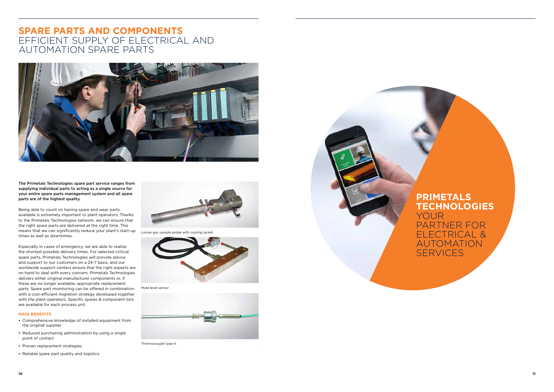**FIND OUT** 

**MORE**

ABOUT OUR

## **SPARE PARTS AND COMPONENTS** EFFICIENT SUPPLY OF ELECTRICAL AND AUTOMATION SPARE PARTS



The Primetals Technologies spare part service ranges from supplying individual parts to acting as a single source for your entire spare parts management system and all spare parts are of the highest quality.

Being able to count on having spare and wear parts available is extremely important to plant operators. Thanks to the Primetals Technologies network, we can ensure that the right spare parts are delivered at the right time. This means that we can significantly reduce your plant's start-up times as well as downtimes.

## **PRIMETALS TECHNOLOGIES** YOUR PARTNER FOR ELECTRICAL & AUTOMATION **SERVICES**

Especially in cases of emergency, we are able to realize the shortest possible delivery times. For selected critical spare parts, Primetals Technologies will provide advice and support to our customers on a 24-7 basis, and our worldwide support centers ensure that the right experts are on hand to deal with every concern. Primetals Technologies delivers either original manufacturer components or, if these are no longer available, appropriate replacement parts. Spare part monitoring can be offered in combination with a cost-efficient migration strategy developed together with the plant operators. Specific spares & component lists are available for each process unit.

## **MAIN BENEFITS**

- **•** Comprehensive knowledge of installed equipment from the original supplier
- **•** Reduced purchasing administration by using a single point of contact
- **•** Proven replacement strategies
- **•** Reliable spare part quality and logistics



Lomas gas sample probe with cooling jacket



Mold level sensor



Thermocouple type K